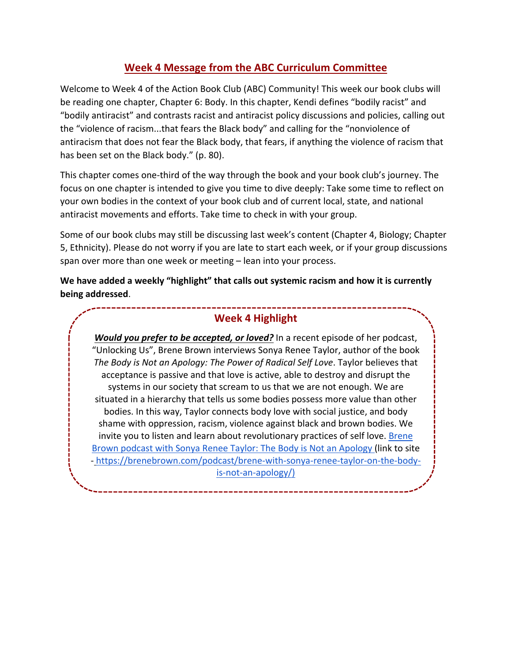## **Week 4 Message from the ABC Curriculum Committee**

Welcome to Week 4 of the Action Book Club (ABC) Community! This week our book clubs will be reading one chapter, Chapter 6: Body. In this chapter, Kendi defines "bodily racist" and "bodily antiracist" and contrasts racist and antiracist policy discussions and policies, calling out the "violence of racism...that fears the Black body" and calling for the "nonviolence of antiracism that does not fear the Black body, that fears, if anything the violence of racism that has been set on the Black body." (p. 80).

This chapter comes one-third of the way through the book and your book club's journey. The focus on one chapter is intended to give you time to dive deeply: Take some time to reflect on your own bodies in the context of your book club and of current local, state, and national antiracist movements and efforts. Take time to check in with your group.

Some of our book clubs may still be discussing last week's content (Chapter 4, Biology; Chapter 5, Ethnicity). Please do not worry if you are late to start each week, or if your group discussions span over more than one week or meeting – lean into your process.

**We have added a weekly "highlight" that calls out systemic racism and how it is currently being addressed**.

## **Week 4 Highlight**

*Would you prefer to be accepted, or loved?* In a recent episode of her podcast, "Unlocking Us", Brene Brown interviews Sonya Renee Taylor, author of the book *The Body is Not an Apology: The Power of Radical Self Love*. Taylor believes that acceptance is passive and that love is active, able to destroy and disrupt the systems in our society that scream to us that we are not enough. We are situated in a hierarchy that tells us some bodies possess more value than other bodies. In this way, Taylor connects body love with social justice, and body shame with oppression, racism, violence against black and brown bodies. We invite you to listen and learn about revolutionary practices of self love. **Brene** Brown podcast with Sonya Renee Taylor: The Body is Not an Apology (link to site - https://brenebrown.com/podcast/brene-with-sonya-renee-taylor-on-the-bodyis-not-an-apology/)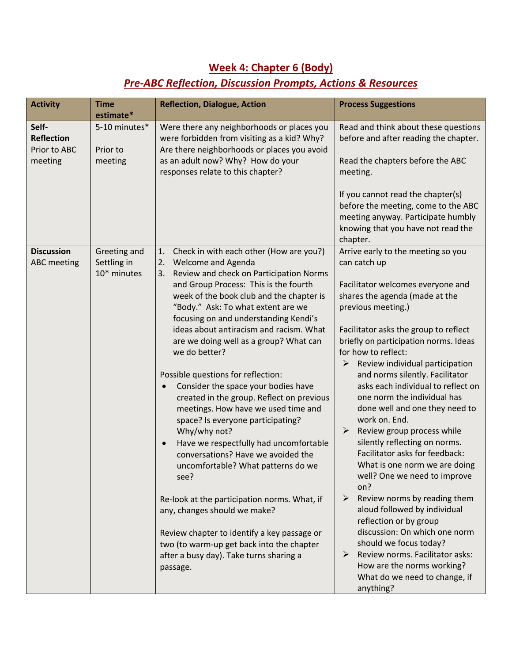## **Week 4: Chapter 6 (Body)**

## *Pre-ABC Reflection, Discussion Prompts, Actions & Resources*

| <b>Activity</b>                                       | <b>Time</b><br>estimate*                   | <b>Reflection, Dialogue, Action</b>                                                                                                                                                                                                                                                                                                                                                                                                                                                                                                                                                                                                                                                                                                                                                                                                                                                                                                                                                                                   | <b>Process Suggestions</b>                                                                                                                                                                                                                                                                                                                                                                                                                                                                                                                                                                                                                                                                                                                                                                                                                                                                                                                  |
|-------------------------------------------------------|--------------------------------------------|-----------------------------------------------------------------------------------------------------------------------------------------------------------------------------------------------------------------------------------------------------------------------------------------------------------------------------------------------------------------------------------------------------------------------------------------------------------------------------------------------------------------------------------------------------------------------------------------------------------------------------------------------------------------------------------------------------------------------------------------------------------------------------------------------------------------------------------------------------------------------------------------------------------------------------------------------------------------------------------------------------------------------|---------------------------------------------------------------------------------------------------------------------------------------------------------------------------------------------------------------------------------------------------------------------------------------------------------------------------------------------------------------------------------------------------------------------------------------------------------------------------------------------------------------------------------------------------------------------------------------------------------------------------------------------------------------------------------------------------------------------------------------------------------------------------------------------------------------------------------------------------------------------------------------------------------------------------------------------|
| Self-<br><b>Reflection</b><br>Prior to ABC<br>meeting | 5-10 minutes*<br>Prior to<br>meeting       | Were there any neighborhoods or places you<br>were forbidden from visiting as a kid? Why?<br>Are there neighborhoods or places you avoid<br>as an adult now? Why? How do your<br>responses relate to this chapter?                                                                                                                                                                                                                                                                                                                                                                                                                                                                                                                                                                                                                                                                                                                                                                                                    | Read and think about these questions<br>before and after reading the chapter.<br>Read the chapters before the ABC<br>meeting.                                                                                                                                                                                                                                                                                                                                                                                                                                                                                                                                                                                                                                                                                                                                                                                                               |
|                                                       |                                            |                                                                                                                                                                                                                                                                                                                                                                                                                                                                                                                                                                                                                                                                                                                                                                                                                                                                                                                                                                                                                       | If you cannot read the chapter(s)<br>before the meeting, come to the ABC<br>meeting anyway. Participate humbly<br>knowing that you have not read the<br>chapter.                                                                                                                                                                                                                                                                                                                                                                                                                                                                                                                                                                                                                                                                                                                                                                            |
| <b>Discussion</b><br><b>ABC</b> meeting               | Greeting and<br>Settling in<br>10* minutes | Check in with each other (How are you?)<br>1.<br>Welcome and Agenda<br>2.<br>Review and check on Participation Norms<br>3.<br>and Group Process: This is the fourth<br>week of the book club and the chapter is<br>"Body." Ask: To what extent are we<br>focusing on and understanding Kendi's<br>ideas about antiracism and racism. What<br>are we doing well as a group? What can<br>we do better?<br>Possible questions for reflection:<br>Consider the space your bodies have<br>$\bullet$<br>created in the group. Reflect on previous<br>meetings. How have we used time and<br>space? Is everyone participating?<br>Why/why not?<br>Have we respectfully had uncomfortable<br>$\bullet$<br>conversations? Have we avoided the<br>uncomfortable? What patterns do we<br>see?<br>Re-look at the participation norms. What, if<br>any, changes should we make?<br>Review chapter to identify a key passage or<br>two (to warm-up get back into the chapter<br>after a busy day). Take turns sharing a<br>passage. | Arrive early to the meeting so you<br>can catch up<br>Facilitator welcomes everyone and<br>shares the agenda (made at the<br>previous meeting.)<br>Facilitator asks the group to reflect<br>briefly on participation norms. Ideas<br>for how to reflect:<br>➤<br>Review individual participation<br>and norms silently. Facilitator<br>asks each individual to reflect on<br>one norm the individual has<br>done well and one they need to<br>work on. End.<br>Review group process while<br>➤<br>silently reflecting on norms.<br>Facilitator asks for feedback:<br>What is one norm we are doing<br>well? One we need to improve<br>on?<br>$\blacktriangleright$<br>Review norms by reading them<br>aloud followed by individual<br>reflection or by group<br>discussion: On which one norm<br>should we focus today?<br>Review norms. Facilitator asks:<br>➤<br>How are the norms working?<br>What do we need to change, if<br>anything? |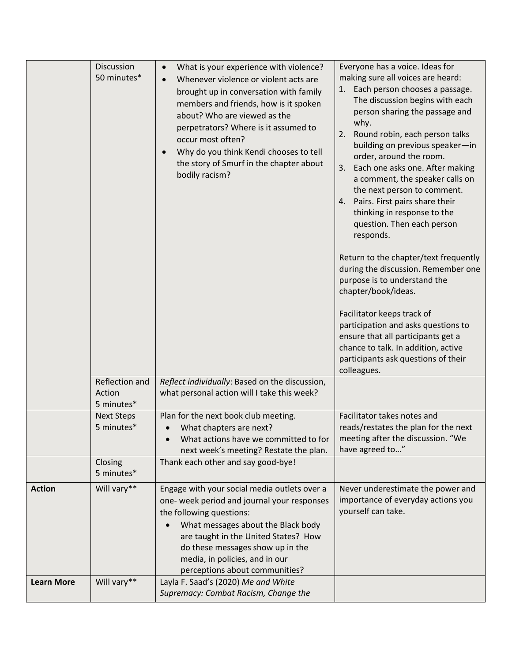|                   | Discussion<br>50 minutes*              | What is your experience with violence?<br>$\bullet$<br>Whenever violence or violent acts are<br>brought up in conversation with family<br>members and friends, how is it spoken<br>about? Who are viewed as the<br>perpetrators? Where is it assumed to<br>occur most often?<br>Why do you think Kendi chooses to tell<br>the story of Smurf in the chapter about<br>bodily racism? | Everyone has a voice. Ideas for<br>making sure all voices are heard:<br>Each person chooses a passage.<br>The discussion begins with each<br>person sharing the passage and<br>why.<br>2.<br>Round robin, each person talks<br>building on previous speaker-in<br>order, around the room.<br>Each one asks one. After making<br>3.<br>a comment, the speaker calls on<br>the next person to comment.<br>4. Pairs. First pairs share their<br>thinking in response to the<br>question. Then each person<br>responds.<br>Return to the chapter/text frequently<br>during the discussion. Remember one<br>purpose is to understand the<br>chapter/book/ideas.<br>Facilitator keeps track of<br>participation and asks questions to<br>ensure that all participants get a<br>chance to talk. In addition, active<br>participants ask questions of their<br>colleagues. |
|-------------------|----------------------------------------|-------------------------------------------------------------------------------------------------------------------------------------------------------------------------------------------------------------------------------------------------------------------------------------------------------------------------------------------------------------------------------------|--------------------------------------------------------------------------------------------------------------------------------------------------------------------------------------------------------------------------------------------------------------------------------------------------------------------------------------------------------------------------------------------------------------------------------------------------------------------------------------------------------------------------------------------------------------------------------------------------------------------------------------------------------------------------------------------------------------------------------------------------------------------------------------------------------------------------------------------------------------------|
|                   | Reflection and<br>Action<br>5 minutes* | Reflect individually: Based on the discussion,<br>what personal action will I take this week?                                                                                                                                                                                                                                                                                       |                                                                                                                                                                                                                                                                                                                                                                                                                                                                                                                                                                                                                                                                                                                                                                                                                                                                    |
|                   | <b>Next Steps</b><br>5 minutes*        | Plan for the next book club meeting.<br>What chapters are next?<br>What actions have we committed to for<br>next week's meeting? Restate the plan.                                                                                                                                                                                                                                  | Facilitator takes notes and<br>reads/restates the plan for the next<br>meeting after the discussion. "We<br>have agreed to"                                                                                                                                                                                                                                                                                                                                                                                                                                                                                                                                                                                                                                                                                                                                        |
|                   | Closing<br>5 minutes*                  | Thank each other and say good-bye!                                                                                                                                                                                                                                                                                                                                                  |                                                                                                                                                                                                                                                                                                                                                                                                                                                                                                                                                                                                                                                                                                                                                                                                                                                                    |
| <b>Action</b>     | Will vary**                            | Engage with your social media outlets over a<br>one- week period and journal your responses<br>the following questions:<br>What messages about the Black body<br>$\bullet$<br>are taught in the United States? How<br>do these messages show up in the<br>media, in policies, and in our<br>perceptions about communities?                                                          | Never underestimate the power and<br>importance of everyday actions you<br>yourself can take.                                                                                                                                                                                                                                                                                                                                                                                                                                                                                                                                                                                                                                                                                                                                                                      |
| <b>Learn More</b> | Will vary**                            | Layla F. Saad's (2020) Me and White<br>Supremacy: Combat Racism, Change the                                                                                                                                                                                                                                                                                                         |                                                                                                                                                                                                                                                                                                                                                                                                                                                                                                                                                                                                                                                                                                                                                                                                                                                                    |